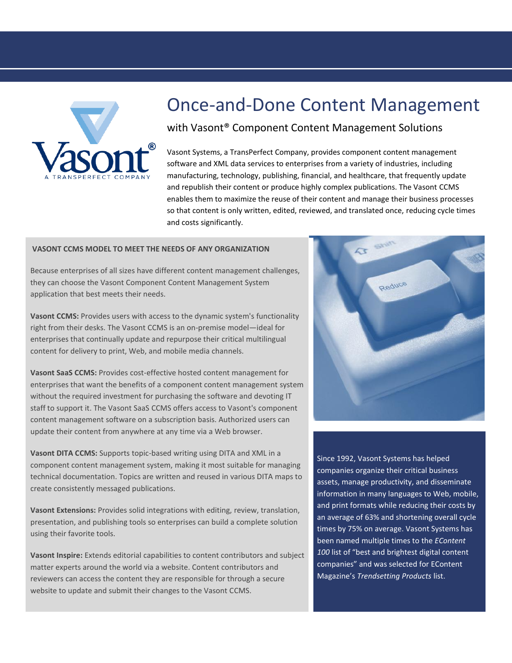

## Once-and-Done Content Management

## with Vasont® Component Content Management Solutions

Vasont Systems, a TransPerfect Company, provides component content management software and XML data services to enterprises from a variety of industries, including manufacturing, technology, publishing, financial, and healthcare, that frequently update and republish their content or produce highly complex publications. The Vasont CCMS enables them to maximize the reuse of their content and manage their business processes so that content is only written, edited, reviewed, and translated once, reducing cycle times and costs significantly.

## **VASONT CCMS MODEL TO MEET THE NEEDS OF ANY ORGANIZATION**

Because enterprises of all sizes have different content management challenges, they can choose the Vasont Component Content Management System application that best meets their needs.

**Vasont CCMS:** Provides users with access to the dynamic system's functionality right from their desks. The Vasont CCMS is an on-premise model—ideal for enterprises that continually update and repurpose their critical multilingual content for delivery to print, Web, and mobile media channels.

**Vasont SaaS CCMS:** Provides cost-effective hosted content management for enterprises that want the benefits of a component content management system without the required investment for purchasing the software and devoting IT staff to support it. The Vasont SaaS CCMS offers access to Vasont's component content management software on a subscription basis. Authorized users can update their content from anywhere at any time via a Web browser.

**Vasont DITA CCMS:** Supports topic-based writing using DITA and XML in a component content management system, making it most suitable for managing technical documentation. Topics are written and reused in various DITA maps to create consistently messaged publications.

**Vasont Extensions:** Provides solid integrations with editing, review, translation, presentation, and publishing tools so enterprises can build a complete solution using their favorite tools.

**Vasont Inspire:** Extends editorial capabilities to content contributors and subject matter experts around the world via a website. Content contributors and reviewers can access the content they are responsible for through a secure website to update and submit their changes to the Vasont CCMS.



Since 1992, Vasont Systems has helped companies organize their critical business assets, manage productivity, and disseminate information in many languages to Web, mobile, and print formats while reducing their costs by an average of 63% and shortening overall cycle times by 75% on average. Vasont Systems has been named multiple times to the *EContent 100* list of "best and brightest digital content companies" and was selected for EContent Magazine's *Trendsetting Products* list.